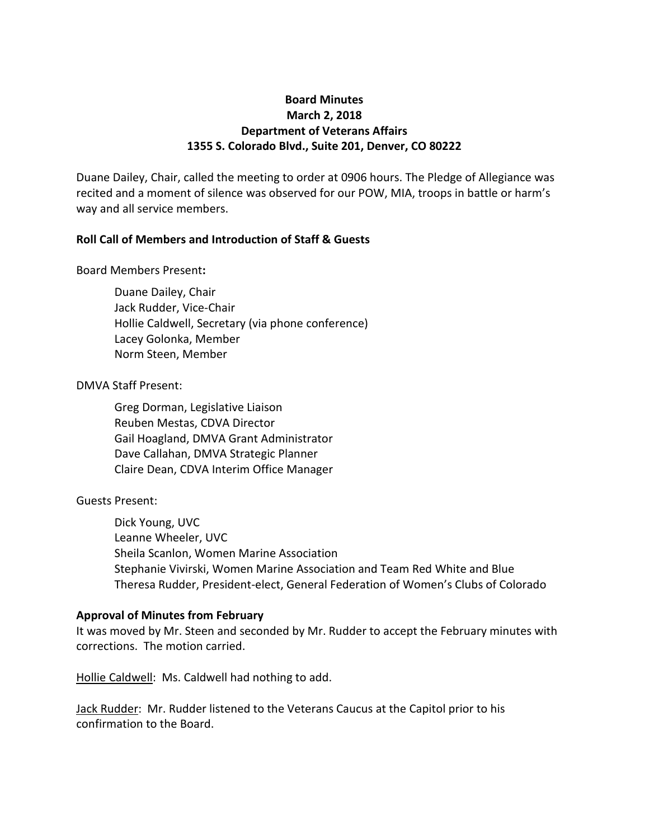## **Board Minutes March 2, 2018 Department of Veterans Affairs 1355 S. Colorado Blvd., Suite 201, Denver, CO 80222**

Duane Dailey, Chair, called the meeting to order at 0906 hours. The Pledge of Allegiance was recited and a moment of silence was observed for our POW, MIA, troops in battle or harm's way and all service members.

## **Roll Call of Members and Introduction of Staff & Guests**

### Board Members Present**:**

Duane Dailey, Chair Jack Rudder, Vice-Chair Hollie Caldwell, Secretary (via phone conference) Lacey Golonka, Member Norm Steen, Member

## DMVA Staff Present:

Greg Dorman, Legislative Liaison Reuben Mestas, CDVA Director Gail Hoagland, DMVA Grant Administrator Dave Callahan, DMVA Strategic Planner Claire Dean, CDVA Interim Office Manager

## Guests Present:

Dick Young, UVC Leanne Wheeler, UVC Sheila Scanlon, Women Marine Association Stephanie Vivirski, Women Marine Association and Team Red White and Blue Theresa Rudder, President-elect, General Federation of Women's Clubs of Colorado

### **Approval of Minutes from February**

It was moved by Mr. Steen and seconded by Mr. Rudder to accept the February minutes with corrections. The motion carried.

Hollie Caldwell: Ms. Caldwell had nothing to add.

Jack Rudder: Mr. Rudder listened to the Veterans Caucus at the Capitol prior to his confirmation to the Board.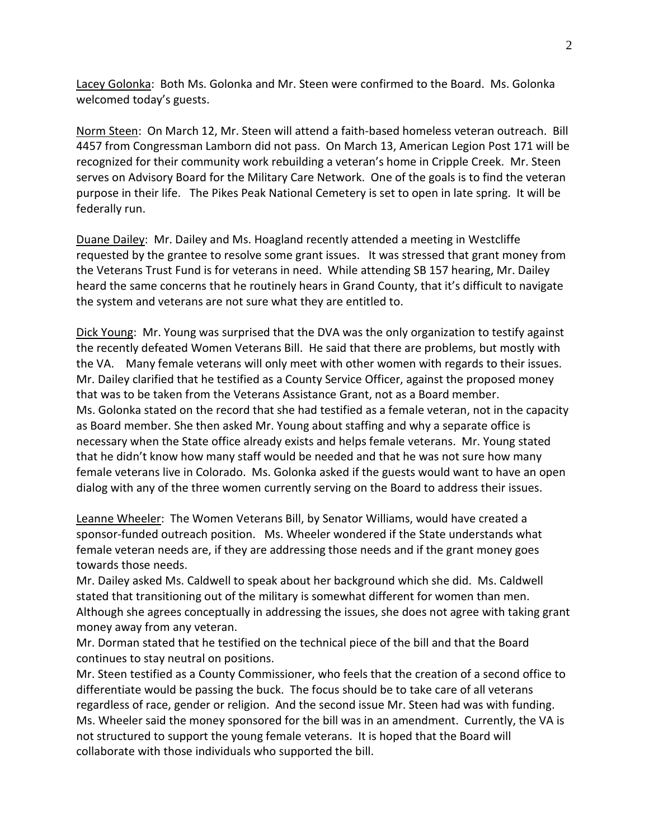Lacey Golonka: Both Ms. Golonka and Mr. Steen were confirmed to the Board. Ms. Golonka welcomed today's guests.

Norm Steen: On March 12, Mr. Steen will attend a faith-based homeless veteran outreach. Bill 4457 from Congressman Lamborn did not pass. On March 13, American Legion Post 171 will be recognized for their community work rebuilding a veteran's home in Cripple Creek. Mr. Steen serves on Advisory Board for the Military Care Network. One of the goals is to find the veteran purpose in their life. The Pikes Peak National Cemetery is set to open in late spring. It will be federally run.

Duane Dailey: Mr. Dailey and Ms. Hoagland recently attended a meeting in Westcliffe requested by the grantee to resolve some grant issues. It was stressed that grant money from the Veterans Trust Fund is for veterans in need. While attending SB 157 hearing, Mr. Dailey heard the same concerns that he routinely hears in Grand County, that it's difficult to navigate the system and veterans are not sure what they are entitled to.

Dick Young: Mr. Young was surprised that the DVA was the only organization to testify against the recently defeated Women Veterans Bill. He said that there are problems, but mostly with the VA. Many female veterans will only meet with other women with regards to their issues. Mr. Dailey clarified that he testified as a County Service Officer, against the proposed money that was to be taken from the Veterans Assistance Grant, not as a Board member. Ms. Golonka stated on the record that she had testified as a female veteran, not in the capacity as Board member. She then asked Mr. Young about staffing and why a separate office is necessary when the State office already exists and helps female veterans. Mr. Young stated that he didn't know how many staff would be needed and that he was not sure how many female veterans live in Colorado. Ms. Golonka asked if the guests would want to have an open dialog with any of the three women currently serving on the Board to address their issues.

Leanne Wheeler: The Women Veterans Bill, by Senator Williams, would have created a sponsor-funded outreach position. Ms. Wheeler wondered if the State understands what female veteran needs are, if they are addressing those needs and if the grant money goes towards those needs.

Mr. Dailey asked Ms. Caldwell to speak about her background which she did. Ms. Caldwell stated that transitioning out of the military is somewhat different for women than men. Although she agrees conceptually in addressing the issues, she does not agree with taking grant money away from any veteran.

Mr. Dorman stated that he testified on the technical piece of the bill and that the Board continues to stay neutral on positions.

Mr. Steen testified as a County Commissioner, who feels that the creation of a second office to differentiate would be passing the buck. The focus should be to take care of all veterans regardless of race, gender or religion. And the second issue Mr. Steen had was with funding. Ms. Wheeler said the money sponsored for the bill was in an amendment. Currently, the VA is not structured to support the young female veterans. It is hoped that the Board will collaborate with those individuals who supported the bill.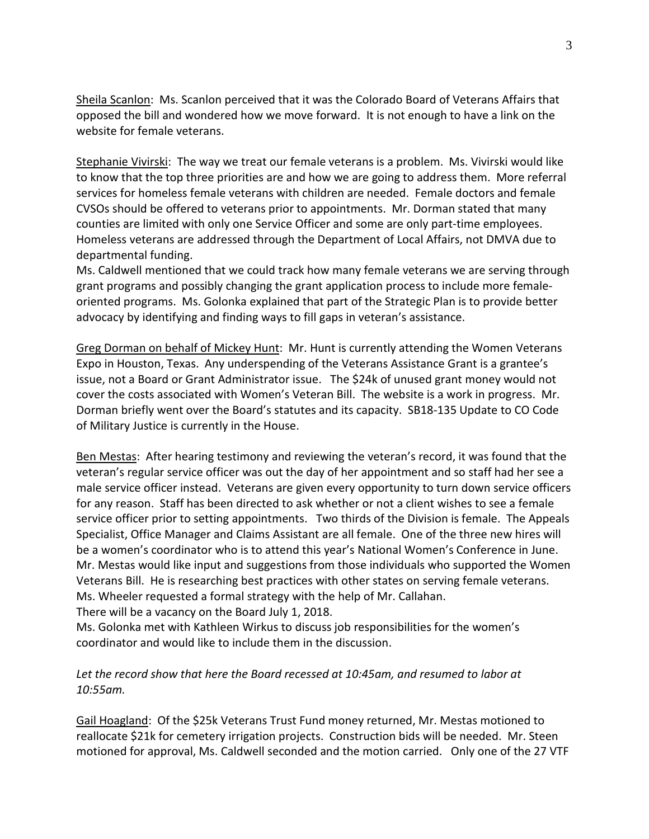Sheila Scanlon: Ms. Scanlon perceived that it was the Colorado Board of Veterans Affairs that opposed the bill and wondered how we move forward. It is not enough to have a link on the website for female veterans.

Stephanie Vivirski: The way we treat our female veterans is a problem. Ms. Vivirski would like to know that the top three priorities are and how we are going to address them. More referral services for homeless female veterans with children are needed. Female doctors and female CVSOs should be offered to veterans prior to appointments. Mr. Dorman stated that many counties are limited with only one Service Officer and some are only part-time employees. Homeless veterans are addressed through the Department of Local Affairs, not DMVA due to departmental funding.

Ms. Caldwell mentioned that we could track how many female veterans we are serving through grant programs and possibly changing the grant application process to include more femaleoriented programs. Ms. Golonka explained that part of the Strategic Plan is to provide better advocacy by identifying and finding ways to fill gaps in veteran's assistance.

Greg Dorman on behalf of Mickey Hunt: Mr. Hunt is currently attending the Women Veterans Expo in Houston, Texas. Any underspending of the Veterans Assistance Grant is a grantee's issue, not a Board or Grant Administrator issue. The \$24k of unused grant money would not cover the costs associated with Women's Veteran Bill. The website is a work in progress. Mr. Dorman briefly went over the Board's statutes and its capacity. SB18-135 Update to CO Code of Military Justice is currently in the House.

Ben Mestas: After hearing testimony and reviewing the veteran's record, it was found that the veteran's regular service officer was out the day of her appointment and so staff had her see a male service officer instead. Veterans are given every opportunity to turn down service officers for any reason. Staff has been directed to ask whether or not a client wishes to see a female service officer prior to setting appointments. Two thirds of the Division is female. The Appeals Specialist, Office Manager and Claims Assistant are all female. One of the three new hires will be a women's coordinator who is to attend this year's National Women's Conference in June. Mr. Mestas would like input and suggestions from those individuals who supported the Women Veterans Bill. He is researching best practices with other states on serving female veterans. Ms. Wheeler requested a formal strategy with the help of Mr. Callahan.

There will be a vacancy on the Board July 1, 2018.

Ms. Golonka met with Kathleen Wirkus to discuss job responsibilities for the women's coordinator and would like to include them in the discussion.

# Let the record show that here the Board recessed at 10:45am, and resumed to labor at *10:55am.*

Gail Hoagland: Of the \$25k Veterans Trust Fund money returned, Mr. Mestas motioned to reallocate \$21k for cemetery irrigation projects. Construction bids will be needed. Mr. Steen motioned for approval, Ms. Caldwell seconded and the motion carried. Only one of the 27 VTF